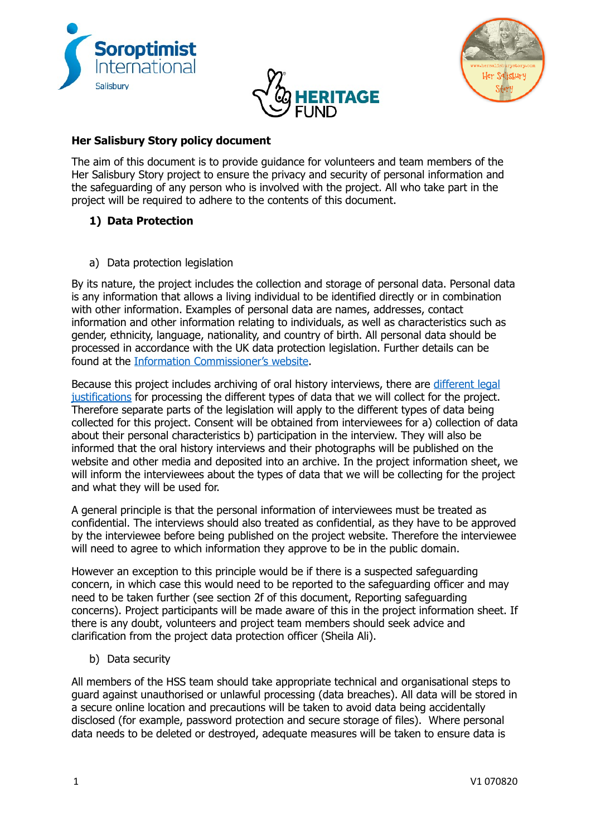





## **Her Salisbury Story policy document**

The aim of this document is to provide guidance for volunteers and team members of the Her Salisbury Story project to ensure the privacy and security of personal information and the safeguarding of any person who is involved with the project. All who take part in the project will be required to adhere to the contents of this document.

# **1) Data Protection**

a) Data protection legislation

By its nature, the project includes the collection and storage of personal data. Personal data is any information that allows a living individual to be identified directly or in combination with other information. Examples of personal data are names, addresses, contact information and other information relating to individuals, as well as characteristics such as gender, ethnicity, language, nationality, and country of birth. All personal data should be processed in accordance with the UK data protection legislation. Further details can be found at the Information Commissioner's website.

Because this project includes archiving of oral history interviews, there are different legal justifications for processing the different types of data that we will collect for the project. Therefore separate parts of the legislation will apply to the different types of data being collected for this project. Consent will be obtained from interviewees for a) collection of data about their personal characteristics b) participation in the interview. They will also be informed that the oral history interviews and their photographs will be published on the website and other media and deposited into an archive. In the project information sheet, we will inform the interviewees about the types of data that we will be collecting for the project and what they will be used for.

A general principle is that the personal information of interviewees must be treated as confidential. The interviews should also treated as confidential, as they have to be approved by the interviewee before being published on the project website. Therefore the interviewee will need to agree to which information they approve to be in the public domain.

However an exception to this principle would be if there is a suspected safeguarding concern, in which case this would need to be reported to the safeguarding officer and may need to be taken further (see section 2f of this document, Reporting safeguarding concerns). Project participants will be made aware of this in the project information sheet. If there is any doubt, volunteers and project team members should seek advice and clarification from the project data protection officer (Sheila Ali).

b) Data security

All members of the HSS team should take appropriate technical and organisational steps to guard against unauthorised or unlawful processing (data breaches). All data will be stored in a secure online location and precautions will be taken to avoid data being accidentally disclosed (for example, password protection and secure storage of files). Where personal data needs to be deleted or destroyed, adequate measures will be taken to ensure data is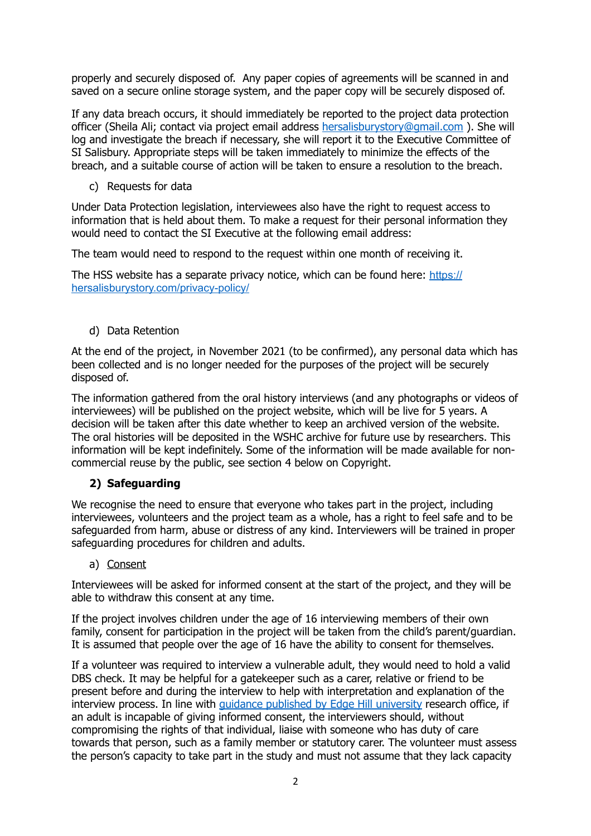properly and securely disposed of. Any paper copies of agreements will be scanned in and saved on a secure online storage system, and the paper copy will be securely disposed of.

If any data breach occurs, it should immediately be reported to the project data protection officer (Sheila Ali; contact via project email address [hersalisburystory@gmail.com](mailto:hersalisburystory@gmail.com) ). She will log and investigate the breach if necessary, she will report it to the Executive Committee of SI Salisbury. Appropriate steps will be taken immediately to minimize the effects of the breach, and a suitable course of action will be taken to ensure a resolution to the breach.

c) Requests for data

Under Data Protection legislation, interviewees also have the right to request access to information that is held about them. To make a request for their personal information they would need to contact the SI Executive at the following email address:

The team would need to respond to the request within one month of receiving it.

The HSS website has a separate privacy notice, which can be found here: [https://](https://hersalisburystory.com/privacy-policy/) [hersalisburystory.com/privacy-policy/](https://hersalisburystory.com/privacy-policy/) 

d) Data Retention

At the end of the project, in November 2021 (to be confirmed), any personal data which has been collected and is no longer needed for the purposes of the project will be securely disposed of.

The information gathered from the oral history interviews (and any photographs or videos of interviewees) will be published on the project website, which will be live for 5 years. A decision will be taken after this date whether to keep an archived version of the website. The oral histories will be deposited in the WSHC archive for future use by researchers. This information will be kept indefinitely. Some of the information will be made available for noncommercial reuse by the public, see section 4 below on Copyright.

### **2) Safeguarding**

We recognise the need to ensure that everyone who takes part in the project, including interviewees, volunteers and the project team as a whole, has a right to feel safe and to be safeguarded from harm, abuse or distress of any kind. Interviewers will be trained in proper safeguarding procedures for children and adults.

a) Consent

Interviewees will be asked for informed consent at the start of the project, and they will be able to withdraw this consent at any time.

If the project involves children under the age of 16 interviewing members of their own family, consent for participation in the project will be taken from the child's parent/guardian. It is assumed that people over the age of 16 have the ability to consent for themselves.

If a volunteer was required to interview a vulnerable adult, they would need to hold a valid DBS check. It may be helpful for a gatekeeper such as a carer, relative or friend to be present before and during the interview to help with interpretation and explanation of the interview process. In line with quidance published by Edge Hill university research office, if an adult is incapable of giving informed consent, the interviewers should, without compromising the rights of that individual, liaise with someone who has duty of care towards that person, such as a family member or statutory carer. The volunteer must assess the person's capacity to take part in the study and must not assume that they lack capacity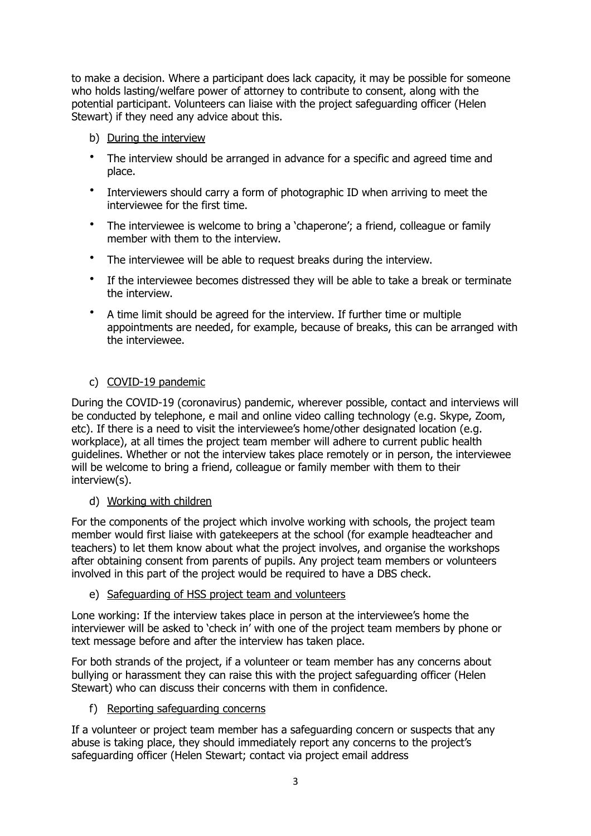to make a decision. Where a participant does lack capacity, it may be possible for someone who holds lasting/welfare power of attorney to contribute to consent, along with the potential participant. Volunteers can liaise with the project safeguarding officer (Helen Stewart) if they need any advice about this.

- b) During the interview
- The interview should be arranged in advance for a specific and agreed time and place.
- Interviewers should carry a form of photographic ID when arriving to meet the interviewee for the first time.
- The interviewee is welcome to bring a 'chaperone'; a friend, colleague or family member with them to the interview.
- The interviewee will be able to request breaks during the interview.
- If the interviewee becomes distressed they will be able to take a break or terminate the interview.
- A time limit should be agreed for the interview. If further time or multiple appointments are needed, for example, because of breaks, this can be arranged with the interviewee.

#### c) COVID-19 pandemic

During the COVID-19 (coronavirus) pandemic, wherever possible, contact and interviews will be conducted by telephone, e mail and online video calling technology (e.g. Skype, Zoom, etc). If there is a need to visit the interviewee's home/other designated location (e.g. workplace), at all times the project team member will adhere to current public health guidelines. Whether or not the interview takes place remotely or in person, the interviewee will be welcome to bring a friend, colleague or family member with them to their interview(s).

#### d) Working with children

For the components of the project which involve working with schools, the project team member would first liaise with gatekeepers at the school (for example headteacher and teachers) to let them know about what the project involves, and organise the workshops after obtaining consent from parents of pupils. Any project team members or volunteers involved in this part of the project would be required to have a DBS check.

#### e) Safeguarding of HSS project team and volunteers

Lone working: If the interview takes place in person at the interviewee's home the interviewer will be asked to 'check in' with one of the project team members by phone or text message before and after the interview has taken place.

For both strands of the project, if a volunteer or team member has any concerns about bullying or harassment they can raise this with the project safeguarding officer (Helen Stewart) who can discuss their concerns with them in confidence.

### f) Reporting safeguarding concerns

If a volunteer or project team member has a safeguarding concern or suspects that any abuse is taking place, they should immediately report any concerns to the project's safeguarding officer (Helen Stewart; contact via project email address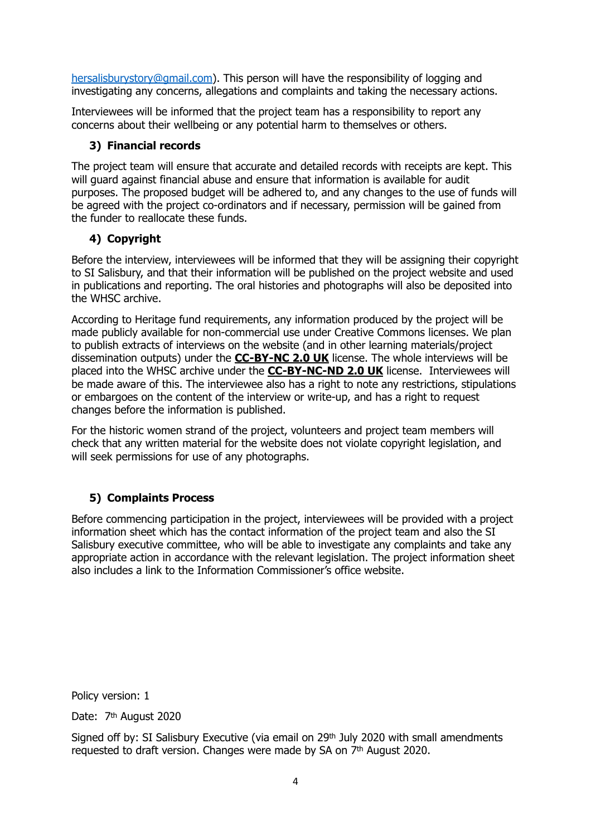[hersalisburystory@gmail.com\)](mailto:hersalisburystory@gmail.com). This person will have the responsibility of logging and investigating any concerns, allegations and complaints and taking the necessary actions.

Interviewees will be informed that the project team has a responsibility to report any concerns about their wellbeing or any potential harm to themselves or others.

### **3) Financial records**

The project team will ensure that accurate and detailed records with receipts are kept. This will guard against financial abuse and ensure that information is available for audit purposes. The proposed budget will be adhered to, and any changes to the use of funds will be agreed with the project co-ordinators and if necessary, permission will be gained from the funder to reallocate these funds.

### **4) Copyright**

Before the interview, interviewees will be informed that they will be assigning their copyright to SI Salisbury, and that their information will be published on the project website and used in publications and reporting. The oral histories and photographs will also be deposited into the WHSC archive.

According to Heritage fund requirements, any information produced by the project will be made publicly available for non-commercial use under Creative Commons licenses. We plan to publish extracts of interviews on the website (and in other learning materials/project dissemination outputs) under the **[CC-BY-NC 2.0 UK](https://creativecommons.org/licenses/by-nc/2.0/uk/)** license. The whole interviews will be placed into the WHSC archive under the **[CC-BY-NC-ND 2.0 UK](https://creativecommons.org/licenses/by-nc-nd/2.0/uk/)** license. Interviewees will be made aware of this. The interviewee also has a right to note any restrictions, stipulations or embargoes on the content of the interview or write-up, and has a right to request changes before the information is published.

For the historic women strand of the project, volunteers and project team members will check that any written material for the website does not violate copyright legislation, and will seek permissions for use of any photographs.

# **5) Complaints Process**

Before commencing participation in the project, interviewees will be provided with a project information sheet which has the contact information of the project team and also the SI Salisbury executive committee, who will be able to investigate any complaints and take any appropriate action in accordance with the relevant legislation. The project information sheet also includes a link to the Information Commissioner's office website.

Policy version: 1

Date: 7<sup>th</sup> August 2020

Signed off by: SI Salisbury Executive (via email on 29th July 2020 with small amendments requested to draft version. Changes were made by SA on 7th August 2020.